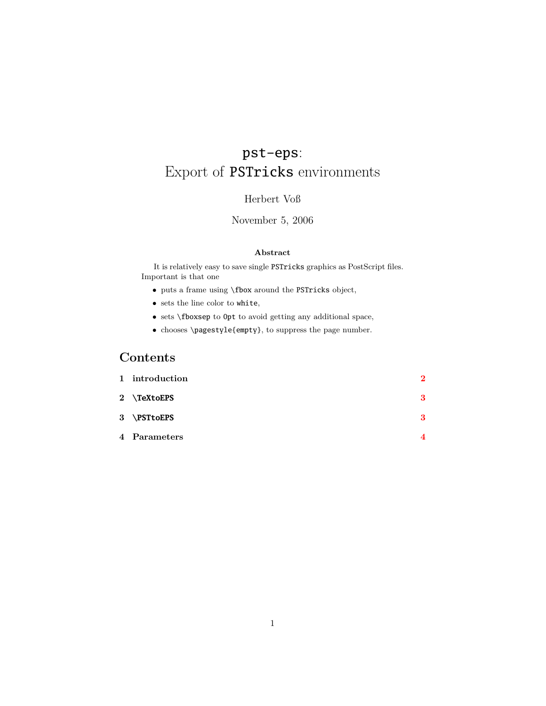# pst-eps: Export of PSTricks environments

#### Herbert Voß

#### November 5, 2006

#### **Abstract**

It is relatively easy to save single PSTricks graphics as PostScript files. Important is that one

- $\bullet\,$  puts a frame using **\fbox** around the <code>PSTricks</code> object,
- sets the line color to white,
- sets \fboxsep to 0pt to avoid getting any additional space,
- chooses \pagestyle{empty}, to suppress the page number.

## **Contents**

| 1 introduction | $\overline{2}$ |
|----------------|----------------|
| 2 \TeXtoEPS    | 3              |
| 3 \PSTtoEPS    | 3              |
| 4 Parameters   | 4              |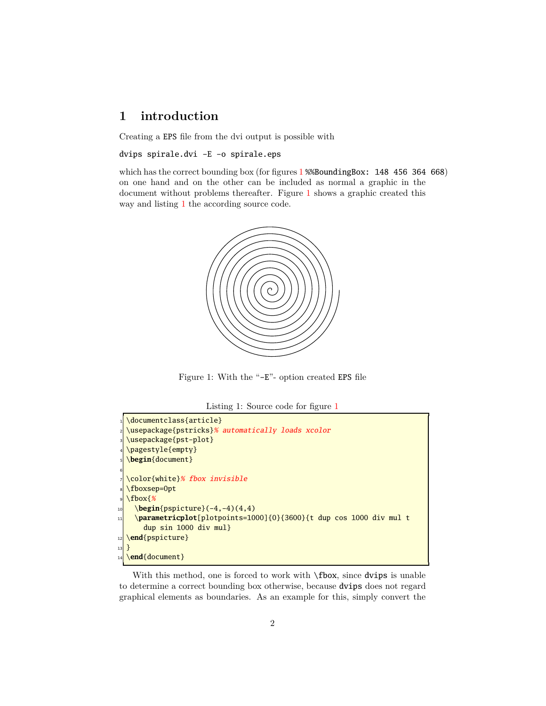## <span id="page-1-3"></span><span id="page-1-0"></span>**1 introduction**

Creating a EPS file from the dvi output is possible with

dvips spirale.dvi -E -o spirale.eps

which has the correct bounding box (for figures [1](#page-1-1) %%BoundingBox: 148 456 364 668) on one hand and on the other can be included as normal a graphic in the document without problems thereafter. Figure [1](#page-1-1) shows a graphic created this way and listing [1](#page-1-2) the according source code.



<span id="page-1-1"></span>Figure 1: With the "-E"- option created EPS file

Listing 1: Source code for figure [1](#page-1-1)

```
1 \documentclass{article}
2 \usepackage{pstricks}% automatically loads xcolor
3 \usepackage{pst-plot}
4 \pagestyle{empty}
5 \begin{document}
6
7 \color{white}% fbox invisible
8 \fboxsep=0pt
9 \fbox{%
10 \begin{pspicture}(-4,-4)(4,4)
11 \parametricplot[plotpoints=1000]{0}{3600}{t dup cos 1000 div mul t
      dup sin 1000 div mul}
12 \end{pspicture}
13 }
14 \end{document}
```
With this method, one is forced to work with  $\Phi$ , since dvips is unable to determine a correct bounding box otherwise, because dvips does not regard graphical elements as boundaries. As an example for this, simply convert the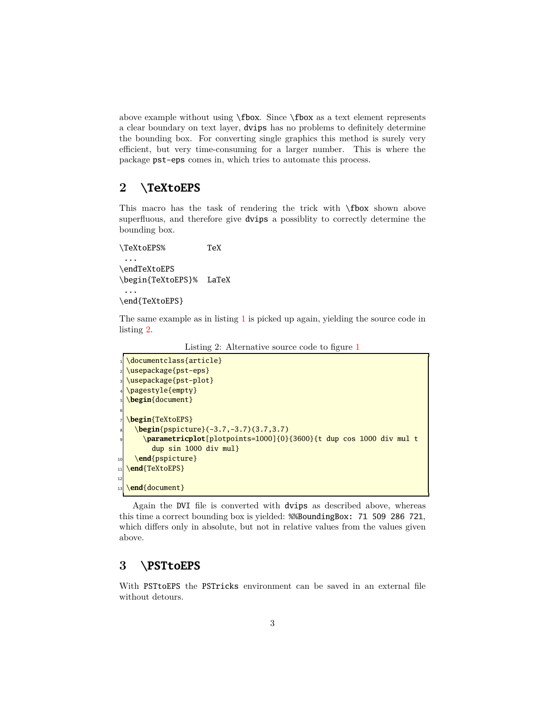<span id="page-2-3"></span>above example without using \fbox. Since \fbox as a text element represents a clear boundary on text layer, dvips has no problems to definitely determine the bounding box. For converting single graphics this method is surely very efficient, but very time-consuming for a larger number. This is where the package pst-eps comes in, which tries to automate this process.

### <span id="page-2-0"></span>**2 \TeXtoEPS**

This macro has the task of rendering the trick with \fbox shown above superfluous, and therefore give dvips a possiblity to correctly determine the bounding box.

\TeXtoEPS% TeX ... \endTeXtoEPS \begin{TeXtoEPS}% LaTeX

```
\end{TeXtoEPS}
```
...

<span id="page-2-2"></span>The same example as in listing [1](#page-1-2) is picked up again, yielding the source code in listing [2.](#page-2-2)

Listing 2: Alternative source code to figure [1](#page-1-1)

```
1 \documentclass{article}
2 \usepackage{pst-eps}
3 \usepackage{pst-plot}
4 \pagestyle{empty}
5 \begin{document}
6
7 \begin{TeXtoEPS}
    8 \begin{pspicture}(-3.7,-3.7)(3.7,3.7)
      9 \parametricplot[plotpoints=1000]{0}{3600}{t dup cos 1000 div mul t
        dup sin 1000 div mul}
10 \end{pspicture}
11 \end{TeXtoEPS}
12
13 \end{document}
```
Again the DVI file is converted with dvips as described above, whereas this time a correct bounding box is yielded: %%BoundingBox: 71 509 286 721, which differs only in absolute, but not in relative values from the values given above.

### <span id="page-2-1"></span>**3 \PSTtoEPS**

With PSTtoEPS the PSTricks environment can be saved in an external file without detours.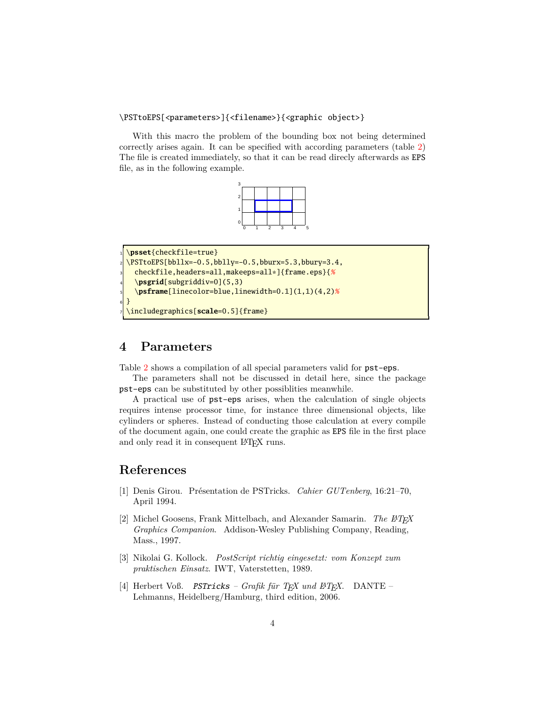#### <span id="page-3-1"></span>\PSTtoEPS[<parameters>]{<filename>}{<graphic object>}

With this macro the problem of the bounding box not being determined correctly arises again. It can be specified with according parameters (table [2\)](#page-4-0) The file is created immediately, so that it can be read direcly afterwards as EPS file, as in the following example.

| c |  |  |  |
|---|--|--|--|
| 2 |  |  |  |
|   |  |  |  |
|   |  |  |  |
| Ó |  |  |  |
|   |  |  |  |

```
1 \psset{checkfile=true}
2 \times 2 \PSTtoEPS[bbllx=-0.5,bblly=-0.5,bburx=5.3,bbury=3.4,
   3 checkfile,headers=all,makeeps=all*]{frame.eps}{%
   4 \psgrid[subgriddiv=0](5,3)
   5 \psframe[linecolor=blue,linewidth=0.1](1,1)(4,2)%
6 }
7 \includegraphics[scale=0.5]{frame}
```
### <span id="page-3-0"></span>**4 Parameters**

Table [2](#page-4-0) shows a compilation of all special parameters valid for pst-eps.

The parameters shall not be discussed in detail here, since the package pst-eps can be substituted by other possiblities meanwhile.

A practical use of pst-eps arises, when the calculation of single objects requires intense processor time, for instance three dimensional objects, like cylinders or spheres. Instead of conducting those calculation at every compile of the document again, one could create the graphic as EPS file in the first place and only read it in consequent LAT<sub>EX</sub> runs.

### **References**

- [1] Denis Girou. Présentation de PSTricks. *Cahier GUTenberg*, 16:21–70, April 1994.
- [2] Michel Goosens, Frank Mittelbach, and Alexander Samarin. *The L<sup>A</sup>TEX Graphics Companion*. Addison-Wesley Publishing Company, Reading, Mass., 1997.
- [3] Nikolai G. Kollock. *PostScript richtig eingesetzt: vom Konzept zum praktischen Einsatz*. IWT, Vaterstetten, 1989.
- [4] Herbert Voß. PSTricks Grafik für T<sub>F</sub>X und P<sup>T</sup>F<sub>7</sub>X. DANTE Lehmanns, Heidelberg/Hamburg, third edition, 2006.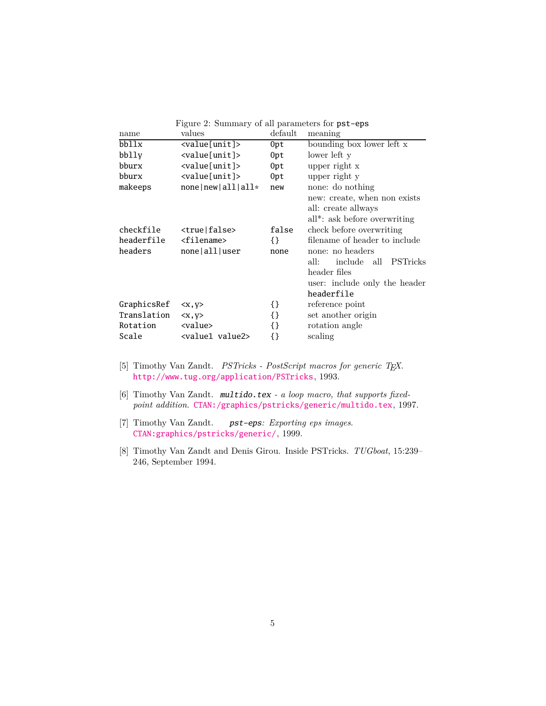| name        | values                      | default | meaning                                                                                                                   |
|-------------|-----------------------------|---------|---------------------------------------------------------------------------------------------------------------------------|
| bbllx       | <value[unit]></value[unit]> | 0pt     | bounding box lower left x                                                                                                 |
| bblly       | <value[unit]></value[unit]> | 0pt     | lower left y                                                                                                              |
| bburx       | <value[unit]></value[unit]> | 0pt     | upper right x                                                                                                             |
| bburx       | <value[unit]></value[unit]> | 0pt     | upper right y                                                                                                             |
| makeeps     | $none new all all*$         | new     | none: do nothing                                                                                                          |
|             |                             |         | new: create, when non exists<br>all: create allways<br>all*: ask before overwriting                                       |
| checkfile   | <true false></true false>   | false   | check before overwriting                                                                                                  |
| headerfile  | <filename></filename>       | {}      | filename of header to include                                                                                             |
| headers     | none all user               | none    | none: no headers<br>all:<br>include all<br><b>PSTricks</b><br>header files<br>user: include only the header<br>headerfile |
| GraphicsRef | $\langle x, y \rangle$      | {}      | reference point                                                                                                           |
| Translation | $\langle x, y \rangle$      | {}      | set another origin                                                                                                        |
| Rotation    | <value></value>             | {}      | rotation angle                                                                                                            |
| Scale       | <value1 value2=""></value1> | {}      | scaling                                                                                                                   |

<span id="page-4-0"></span>Figure 2: Summary of all parameters for pst-eps

- [5] Timothy Van Zandt. *PSTricks PostScript macros for generic TEX*. <http://www.tug.org/application/PSTricks>, 1993.
- [6] Timothy Van Zandt. multido.tex  *a loop macro, that supports fixedpoint addition*. <CTAN:/graphics/pstricks/generic/multido.tex>, 1997.
- [7] Timothy Van Zandt. pst-eps*: Exporting eps images*. <CTAN:graphics/pstricks/generic/>, 1999.
- [8] Timothy Van Zandt and Denis Girou. Inside PSTricks. *TUGboat*, 15:239– 246, September 1994.